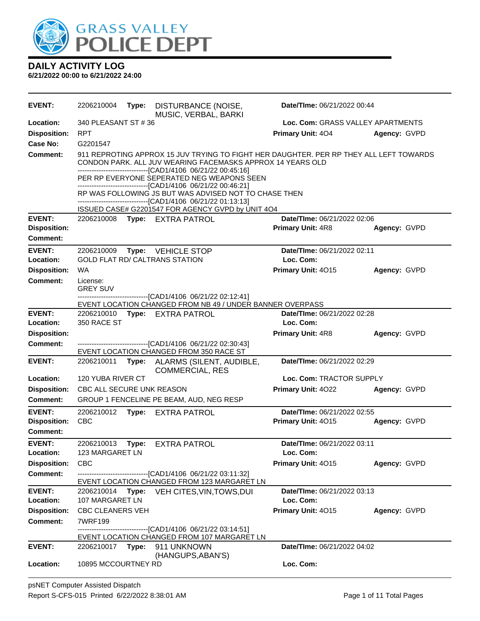

| <b>EVENT:</b>                          | 2206210004                                                                                                                                                                                                            | Type: | DISTURBANCE (NOISE,<br>MUSIC, VERBAL, BARKI                                                                             | Date/TIme: 06/21/2022 00:44              |              |
|----------------------------------------|-----------------------------------------------------------------------------------------------------------------------------------------------------------------------------------------------------------------------|-------|-------------------------------------------------------------------------------------------------------------------------|------------------------------------------|--------------|
| Location:                              | 340 PLEASANT ST #36                                                                                                                                                                                                   |       |                                                                                                                         | Loc. Com: GRASS VALLEY APARTMENTS        |              |
| <b>Disposition:</b>                    | <b>RPT</b>                                                                                                                                                                                                            |       |                                                                                                                         | <b>Primary Unit: 404</b>                 | Agency: GVPD |
| Case No:                               | G2201547                                                                                                                                                                                                              |       |                                                                                                                         |                                          |              |
| <b>Comment:</b>                        | 911 REPROTING APPROX 15 JUV TRYING TO FIGHT HER DAUGHTER. PER RP THEY ALL LEFT TOWARDS<br>CONDON PARK. ALL JUV WEARING FACEMASKS APPROX 14 YEARS OLD<br>--------------------------------[CAD1/4106 06/21/22 00:45:16] |       |                                                                                                                         |                                          |              |
|                                        |                                                                                                                                                                                                                       |       | PER RP EVERYONE SEPERATED NEG WEAPONS SEEN<br>----------------------------------[CAD1/4106 06/21/22 00:46:21]           |                                          |              |
|                                        |                                                                                                                                                                                                                       |       | RP WAS FOLLOWING JS BUT WAS ADVISED NOT TO CHASE THEN<br>-------------------------------[CAD1/4106 06/21/22 01:13:13]   |                                          |              |
|                                        |                                                                                                                                                                                                                       |       | ISSUED CASE# G2201547 FOR AGENCY GVPD by UNIT 4O4                                                                       |                                          |              |
| <b>EVENT:</b>                          |                                                                                                                                                                                                                       |       | 2206210008 Type: EXTRA PATROL                                                                                           | Date/TIme: 06/21/2022 02:06              |              |
| <b>Disposition:</b><br><b>Comment:</b> |                                                                                                                                                                                                                       |       |                                                                                                                         | <b>Primary Unit: 4R8</b>                 | Agency: GVPD |
| <b>EVENT:</b><br>Location:             | 2206210009                                                                                                                                                                                                            |       | Type: VEHICLE STOP<br><b>GOLD FLAT RD/ CALTRANS STATION</b>                                                             | Date/TIme: 06/21/2022 02:11<br>Loc. Com: |              |
| <b>Disposition:</b>                    | <b>WA</b>                                                                                                                                                                                                             |       |                                                                                                                         | Primary Unit: 4015                       | Agency: GVPD |
| <b>Comment:</b>                        | License:<br><b>GREY SUV</b>                                                                                                                                                                                           |       |                                                                                                                         |                                          |              |
|                                        |                                                                                                                                                                                                                       |       | -----------------------------[CAD1/4106 06/21/22 02:12:41]<br>EVENT LOCATION CHANGED FROM NB 49 / UNDER BANNER OVERPASS |                                          |              |
| <b>EVENT:</b>                          |                                                                                                                                                                                                                       |       | 2206210010 Type: EXTRA PATROL                                                                                           | <b>Date/Time: 06/21/2022 02:28</b>       |              |
| Location:                              | 350 RACE ST                                                                                                                                                                                                           |       |                                                                                                                         | Loc. Com:                                |              |
| <b>Disposition:</b>                    |                                                                                                                                                                                                                       |       |                                                                                                                         | <b>Primary Unit: 4R8</b>                 | Agency: GVPD |
| <b>Comment:</b>                        |                                                                                                                                                                                                                       |       | -------------------------------[CAD1/4106 06/21/22 02:30:43]<br>EVENT LOCATION CHANGED FROM 350 RACE ST                 |                                          |              |
| <b>EVENT:</b>                          | 2206210011                                                                                                                                                                                                            | Type: | ALARMS (SILENT, AUDIBLE,<br><b>COMMERCIAL, RES</b>                                                                      | Date/TIme: 06/21/2022 02:29              |              |
| Location:                              | 120 YUBA RIVER CT                                                                                                                                                                                                     |       |                                                                                                                         | Loc. Com: TRACTOR SUPPLY                 |              |
| <b>Disposition:</b>                    | CBC ALL SECURE UNK REASON                                                                                                                                                                                             |       |                                                                                                                         | <b>Primary Unit: 4022</b>                | Agency: GVPD |
| <b>Comment:</b>                        |                                                                                                                                                                                                                       |       | GROUP 1 FENCELINE PE BEAM, AUD, NEG RESP                                                                                |                                          |              |
| <b>EVENT:</b>                          | 2206210012                                                                                                                                                                                                            | Type: | <b>EXTRA PATROL</b>                                                                                                     | Date/TIme: 06/21/2022 02:55              |              |
| <b>Disposition:</b>                    | <b>CBC</b>                                                                                                                                                                                                            |       |                                                                                                                         | Primary Unit: 4015                       | Agency: GVPD |
| Comment:                               |                                                                                                                                                                                                                       |       |                                                                                                                         |                                          |              |
| <b>EVENT:</b><br>Location:             | 2206210013<br>123 MARGARET LN                                                                                                                                                                                         | Type: | <b>EXTRA PATROL</b>                                                                                                     | Date/TIme: 06/21/2022 03:11<br>Loc. Com: |              |
| <b>Disposition:</b>                    | <b>CBC</b>                                                                                                                                                                                                            |       |                                                                                                                         | Primary Unit: 4015                       | Agency: GVPD |
| <b>Comment:</b>                        |                                                                                                                                                                                                                       |       | -------------------------------[CAD1/4106 06/21/22 03:11:32]                                                            |                                          |              |
| <b>EVENT:</b>                          |                                                                                                                                                                                                                       |       | EVENT LOCATION CHANGED FROM 123 MARGARET LN                                                                             | Date/TIme: 06/21/2022 03:13              |              |
| Location:                              | 107 MARGARET LN                                                                                                                                                                                                       |       | 2206210014 Type: VEH CITES, VIN, TOWS, DUI                                                                              | Loc. Com:                                |              |
| <b>Disposition:</b>                    | <b>CBC CLEANERS VEH</b>                                                                                                                                                                                               |       |                                                                                                                         | Primary Unit: 4015                       | Agency: GVPD |
| <b>Comment:</b>                        | 7WRF199                                                                                                                                                                                                               |       |                                                                                                                         |                                          |              |
|                                        |                                                                                                                                                                                                                       |       | ------------------[CAD1/4106_06/21/22_03:14:51]<br>EVENT LOCATION CHANGED FROM 107 MARGARET LN                          |                                          |              |
| <b>EVENT:</b>                          |                                                                                                                                                                                                                       |       | (HANGUPS, ABAN'S)                                                                                                       | Date/TIme: 06/21/2022 04:02              |              |
| Location:                              | 10895 MCCOURTNEY RD                                                                                                                                                                                                   |       |                                                                                                                         | Loc. Com:                                |              |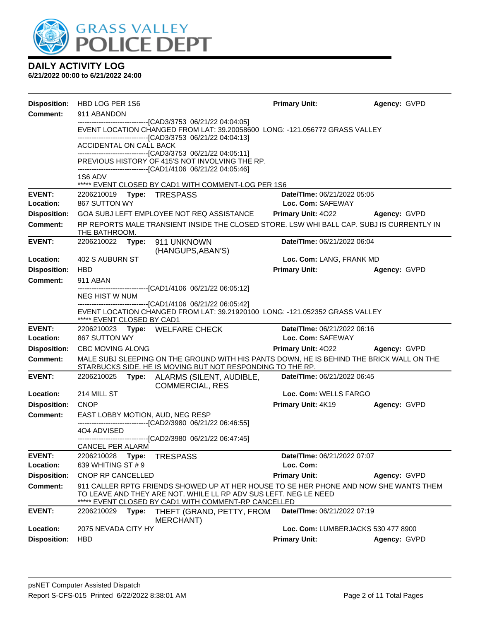

|                            | Disposition: HBD LOG PER 1S6                                                                                                                                                                                                                                                                                                                                               | <b>Primary Unit:</b>                             | Agency: GVPD        |  |  |  |
|----------------------------|----------------------------------------------------------------------------------------------------------------------------------------------------------------------------------------------------------------------------------------------------------------------------------------------------------------------------------------------------------------------------|--------------------------------------------------|---------------------|--|--|--|
| <b>Comment:</b>            | 911 ABANDON<br>--------------------------------[CAD3/3753 06/21/22 04:04:05]<br>EVENT LOCATION CHANGED FROM LAT: 39.20058600 LONG: -121.056772 GRASS VALLEY<br>--------------------------------[CAD3/3753 06/21/22 04:04:13]<br>ACCIDENTAL ON CALL BACK<br>-------------------------------[CAD3/3753 06/21/22 04:05:11]<br>PREVIOUS HISTORY OF 415'S NOT INVOLVING THE RP. |                                                  |                     |  |  |  |
|                            | -------------------------------[CAD1/4106 06/21/22 04:05:46]<br>1S6 ADV                                                                                                                                                                                                                                                                                                    |                                                  |                     |  |  |  |
| <b>EVENT:</b>              | ***** EVENT CLOSED BY CAD1 WITH COMMENT-LOG PER 1S6<br>2206210019    Type: TRESPASS                                                                                                                                                                                                                                                                                        | Date/TIme: 06/21/2022 05:05                      |                     |  |  |  |
| Location:                  | 867 SUTTON WY                                                                                                                                                                                                                                                                                                                                                              | Loc. Com: SAFEWAY                                |                     |  |  |  |
| <b>Disposition:</b>        | GOA SUBJ LEFT EMPLOYEE NOT REQ ASSISTANCE                                                                                                                                                                                                                                                                                                                                  | Primary Unit: 4022                               | <b>Agency: GVPD</b> |  |  |  |
| <b>Comment:</b>            | RP REPORTS MALE TRANSIENT INSIDE THE CLOSED STORE. LSW WHI BALL CAP. SUBJ IS CURRENTLY IN<br>THE BATHROOM.                                                                                                                                                                                                                                                                 |                                                  |                     |  |  |  |
| <b>EVENT:</b>              | 2206210022 Type:<br>911 UNKNOWN<br>(HANGUPS, ABAN'S)                                                                                                                                                                                                                                                                                                                       | Date/TIme: 06/21/2022 06:04                      |                     |  |  |  |
| Location:                  | 402 S AUBURN ST                                                                                                                                                                                                                                                                                                                                                            | Loc. Com: LANG, FRANK MD                         |                     |  |  |  |
| <b>Disposition:</b>        | <b>HBD</b>                                                                                                                                                                                                                                                                                                                                                                 | <b>Primary Unit:</b>                             | Agency: GVPD        |  |  |  |
| <b>Comment:</b>            | 911 ABAN                                                                                                                                                                                                                                                                                                                                                                   |                                                  |                     |  |  |  |
|                            | -------------------------------[CAD1/4106_06/21/22 06:05:12]<br>NEG HIST W NUM                                                                                                                                                                                                                                                                                             |                                                  |                     |  |  |  |
|                            | -------------------------------[CAD1/4106 06/21/22 06:05:42]<br>EVENT LOCATION CHANGED FROM LAT: 39.21920100 LONG: -121.052352 GRASS VALLEY<br>***** EVENT CLOSED BY CAD1                                                                                                                                                                                                  |                                                  |                     |  |  |  |
| <b>EVENT:</b><br>Location: | 2206210023 Type: WELFARE CHECK<br>867 SUTTON WY                                                                                                                                                                                                                                                                                                                            | Date/TIme: 06/21/2022 06:16<br>Loc. Com: SAFEWAY |                     |  |  |  |
| <b>Disposition:</b>        | <b>CBC MOVING ALONG</b>                                                                                                                                                                                                                                                                                                                                                    | <b>Primary Unit: 4022 Agency: GVPD</b>           |                     |  |  |  |
| <b>Comment:</b>            | MALE SUBJ SLEEPING ON THE GROUND WITH HIS PANTS DOWN, HE IS BEHIND THE BRICK WALL ON THE<br>STARBUCKS SIDE. HE IS MOVING BUT NOT RESPONDING TO THE RP.                                                                                                                                                                                                                     |                                                  |                     |  |  |  |
| <b>EVENT:</b>              | 2206210025<br>Type: ALARMS (SILENT, AUDIBLE,<br><b>COMMERCIAL, RES</b>                                                                                                                                                                                                                                                                                                     | Date/TIme: 06/21/2022 06:45                      |                     |  |  |  |
| Location:                  | 214 MILL ST                                                                                                                                                                                                                                                                                                                                                                | Loc. Com: WELLS FARGO                            |                     |  |  |  |
| <b>Disposition:</b>        | <b>CNOP</b>                                                                                                                                                                                                                                                                                                                                                                | <b>Primary Unit: 4K19</b>                        | Agency: GVPD        |  |  |  |
| <b>Comment:</b>            | EAST LOBBY MOTION, AUD, NEG RESP                                                                                                                                                                                                                                                                                                                                           |                                                  |                     |  |  |  |
|                            | -------------------------------[CAD2/3980 06/21/22 06:46:55]<br>404 ADVISED                                                                                                                                                                                                                                                                                                |                                                  |                     |  |  |  |
|                            | -------------------------------[CAD2/3980 06/21/22 06:47:45]                                                                                                                                                                                                                                                                                                               |                                                  |                     |  |  |  |
|                            | CANCEL PER ALARM                                                                                                                                                                                                                                                                                                                                                           |                                                  |                     |  |  |  |
| <b>EVENT:</b><br>Location: | 2206210028<br>Type:<br><b>TRESPASS</b><br>639 WHITING ST # 9                                                                                                                                                                                                                                                                                                               | Date/TIme: 06/21/2022 07:07<br>Loc. Com:         |                     |  |  |  |
| <b>Disposition:</b>        | CNOP RP CANCELLED                                                                                                                                                                                                                                                                                                                                                          | <b>Primary Unit:</b>                             | Agency: GVPD        |  |  |  |
| <b>Comment:</b>            | 911 CALLER RPTG FRIENDS SHOWED UP AT HER HOUSE TO SE HER PHONE AND NOW SHE WANTS THEM                                                                                                                                                                                                                                                                                      |                                                  |                     |  |  |  |
|                            | TO LEAVE AND THEY ARE NOT. WHILE LL RP ADV SUS LEFT. NEG LE NEED<br>***** EVENT CLOSED BY CAD1 WITH COMMENT-RP CANCELLED                                                                                                                                                                                                                                                   |                                                  |                     |  |  |  |
| <b>EVENT:</b>              | 2206210029<br>Type:<br>THEFT (GRAND, PETTY, FROM<br><b>MERCHANT)</b>                                                                                                                                                                                                                                                                                                       | Date/TIme: 06/21/2022 07:19                      |                     |  |  |  |
| Location:                  | 2075 NEVADA CITY HY                                                                                                                                                                                                                                                                                                                                                        | Loc. Com: LUMBERJACKS 530 477 8900               |                     |  |  |  |
| <b>Disposition:</b>        | <b>HBD</b>                                                                                                                                                                                                                                                                                                                                                                 | <b>Primary Unit:</b>                             | Agency: GVPD        |  |  |  |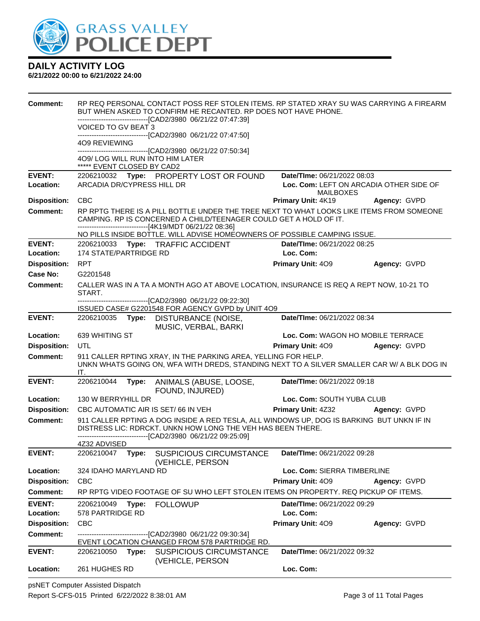

#### **6/21/2022 00:00 to 6/21/2022 24:00**

| <b>Comment:</b>            |                                 |       | RP REQ PERSONAL CONTACT POSS REF STOLEN ITEMS. RP STATED XRAY SU WAS CARRYING A FIREARM<br>BUT WHEN ASKED TO CONFIRM HE RECANTED. RP DOES NOT HAVE PHONE.                                                                 |                                                             |              |
|----------------------------|---------------------------------|-------|---------------------------------------------------------------------------------------------------------------------------------------------------------------------------------------------------------------------------|-------------------------------------------------------------|--------------|
|                            |                                 |       | -------------------------------[CAD2/3980 06/21/22 07:47:39]                                                                                                                                                              |                                                             |              |
|                            | VOICED TO GV BEAT 3             |       | -------------------------------[CAD2/3980 06/21/22 07:47:50]                                                                                                                                                              |                                                             |              |
|                            | 409 REVIEWING                   |       |                                                                                                                                                                                                                           |                                                             |              |
|                            | 409/LOG WILL RUN INTO HIM LATER |       | --------------------------------[CAD2/3980 06/21/22 07:50:34]                                                                                                                                                             |                                                             |              |
|                            | ***** EVENT CLOSED BY CAD2      |       |                                                                                                                                                                                                                           |                                                             |              |
| <b>EVENT:</b>              |                                 |       | 2206210032 Type: PROPERTY LOST OR FOUND                                                                                                                                                                                   | Date/TIme: 06/21/2022 08:03                                 |              |
| Location:                  | ARCADIA DR/CYPRESS HILL DR      |       |                                                                                                                                                                                                                           | Loc. Com: LEFT ON ARCADIA OTHER SIDE OF<br><b>MAILBOXES</b> |              |
| <b>Disposition:</b>        | <b>CBC</b>                      |       |                                                                                                                                                                                                                           | Primary Unit: 4K19                                          | Agency: GVPD |
| <b>Comment:</b>            |                                 |       | RP RPTG THERE IS A PILL BOTTLE UNDER THE TREE NEXT TO WHAT LOOKS LIKE ITEMS FROM SOMEONE<br>CAMPING. RP IS CONCERNED A CHILD/TEENAGER COULD GET A HOLD OF IT.<br>-------------------------------[4K19/MDT 06/21/22 08:36] |                                                             |              |
|                            |                                 |       | NO PILLS INSIDE BOTTLE. WILL ADVISE HOMEOWNERS OF POSSIBLE CAMPING ISSUE.                                                                                                                                                 |                                                             |              |
| <b>EVENT:</b>              |                                 |       | 2206210033 Type: TRAFFIC ACCIDENT                                                                                                                                                                                         | Date/TIme: 06/21/2022 08:25                                 |              |
| Location:                  | 174 STATE/PARTRIDGE RD          |       |                                                                                                                                                                                                                           | Loc. Com:                                                   |              |
| <b>Disposition:</b>        | <b>RPT</b>                      |       |                                                                                                                                                                                                                           | <b>Primary Unit: 409</b>                                    | Agency: GVPD |
| Case No:                   | G2201548                        |       |                                                                                                                                                                                                                           |                                                             |              |
| Comment:                   | START.                          |       | CALLER WAS IN A TA A MONTH AGO AT ABOVE LOCATION, INSURANCE IS REQ A REPT NOW, 10-21 TO                                                                                                                                   |                                                             |              |
|                            |                                 |       | -------------------------------[CAD2/3980 06/21/22 09:22:30]<br>ISSUED CASE# G2201548 FOR AGENCY GVPD by UNIT 4O9                                                                                                         |                                                             |              |
| <b>EVENT:</b>              | 2206210035                      | Type: | <b>DISTURBANCE (NOISE,</b><br>MUSIC, VERBAL, BARKI                                                                                                                                                                        | Date/TIme: 06/21/2022 08:34                                 |              |
| Location:                  | 639 WHITING ST                  |       |                                                                                                                                                                                                                           | Loc. Com: WAGON HO MOBILE TERRACE                           |              |
| <b>Disposition:</b>        | UTL                             |       |                                                                                                                                                                                                                           | Primary Unit: 409                                           | Agency: GVPD |
| <b>Comment:</b>            | IT.                             |       | 911 CALLER RPTING XRAY, IN THE PARKING AREA, YELLING FOR HELP.<br>UNKN WHATS GOING ON, WFA WITH DREDS, STANDING NEXT TO A SILVER SMALLER CAR W/ A BLK DOG IN                                                              |                                                             |              |
| <b>EVENT:</b>              | 2206210044                      | Type: | ANIMALS (ABUSE, LOOSE,<br>FOUND, INJURED)                                                                                                                                                                                 | Date/TIme: 06/21/2022 09:18                                 |              |
| Location:                  | 130 W BERRYHILL DR              |       |                                                                                                                                                                                                                           | Loc. Com: SOUTH YUBA CLUB                                   |              |
| <b>Disposition:</b>        |                                 |       | CBC AUTOMATIC AIR IS SET/66 IN VEH                                                                                                                                                                                        | <b>Primary Unit: 4Z32 Agency: GVPD</b>                      |              |
| <b>Comment:</b>            |                                 |       | 911 CALLER RPTING A DOG INSIDE A RED TESLA, ALL WINDOWS UP, DOG IS BARKING BUT UNKN IF IN<br>DISTRESS LIC: RDRCKT. UNKN HOW LONG THE VEH HAS BEEN THERE.<br>-------------------------[CAD2/3980_06/21/22_09:25:09]        |                                                             |              |
|                            | 4Z32 ADVISED                    |       |                                                                                                                                                                                                                           |                                                             |              |
| <b>EVENT:</b>              | 2206210047                      | Type: | SUSPICIOUS CIRCUMSTANCE<br>(VEHICLE, PERSON                                                                                                                                                                               | Date/TIme: 06/21/2022 09:28                                 |              |
| Location:                  | 324 IDAHO MARYLAND RD           |       |                                                                                                                                                                                                                           | Loc. Com: SIERRA TIMBERLINE                                 |              |
| <b>Disposition:</b>        | <b>CBC</b>                      |       |                                                                                                                                                                                                                           | Primary Unit: 409                                           | Agency: GVPD |
| <b>Comment:</b>            |                                 |       | RP RPTG VIDEO FOOTAGE OF SU WHO LEFT STOLEN ITEMS ON PROPERTY. REQ PICKUP OF ITEMS.                                                                                                                                       |                                                             |              |
| <b>EVENT:</b><br>Location: | 2206210049<br>578 PARTRIDGE RD  | Type: | <b>FOLLOWUP</b>                                                                                                                                                                                                           | Date/TIme: 06/21/2022 09:29<br>Loc. Com:                    |              |
| <b>Disposition:</b>        | <b>CBC</b>                      |       |                                                                                                                                                                                                                           | Primary Unit: 409                                           | Agency: GVPD |
| <b>Comment:</b>            |                                 |       | -------------------------------[CAD2/3980 06/21/22 09:30:34]                                                                                                                                                              |                                                             |              |
|                            |                                 |       | EVENT LOCATION CHANGED FROM 578 PARTRIDGE RD.                                                                                                                                                                             |                                                             |              |
| <b>EVENT:</b>              | 2206210050 Type:                |       | <b>SUSPICIOUS CIRCUMSTANCE</b><br>(VEHICLE, PERSON                                                                                                                                                                        | Date/TIme: 06/21/2022 09:32                                 |              |
| Location:                  | 261 HUGHES RD                   |       |                                                                                                                                                                                                                           | Loc. Com:                                                   |              |

psNET Computer Assisted Dispatch Report S-CFS-015 Printed 6/22/2022 8:38:01 AM Page 3 of 11 Total Pages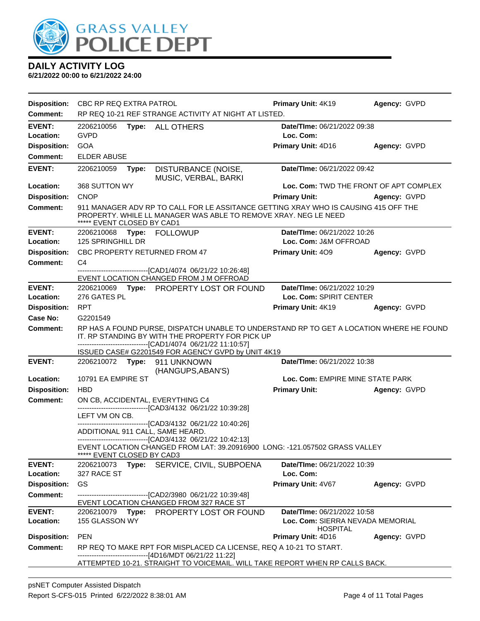

| <b>Disposition:</b>        | <b>CBC RP REQ EXTRA PATROL</b>                                                                                                                                                                                                                                    |                                                                                                                                                                                                       | Primary Unit: 4K19                                  | Agency: GVPD                           |
|----------------------------|-------------------------------------------------------------------------------------------------------------------------------------------------------------------------------------------------------------------------------------------------------------------|-------------------------------------------------------------------------------------------------------------------------------------------------------------------------------------------------------|-----------------------------------------------------|----------------------------------------|
| Comment:                   |                                                                                                                                                                                                                                                                   | RP REQ 10-21 REF STRANGE ACTIVITY AT NIGHT AT LISTED.                                                                                                                                                 |                                                     |                                        |
| <b>EVENT:</b><br>Location: | 2206210056<br><b>GVPD</b>                                                                                                                                                                                                                                         | Type: ALL OTHERS                                                                                                                                                                                      | Date/TIme: 06/21/2022 09:38<br>Loc. Com:            |                                        |
| <b>Disposition:</b>        | GOA                                                                                                                                                                                                                                                               |                                                                                                                                                                                                       | Primary Unit: 4D16                                  | Agency: GVPD                           |
| <b>Comment:</b>            | <b>ELDER ABUSE</b>                                                                                                                                                                                                                                                |                                                                                                                                                                                                       |                                                     |                                        |
| <b>EVENT:</b>              | 2206210059<br>Type:                                                                                                                                                                                                                                               | DISTURBANCE (NOISE,<br>MUSIC, VERBAL, BARKI                                                                                                                                                           | Date/TIme: 06/21/2022 09:42                         |                                        |
| Location:                  | 368 SUTTON WY                                                                                                                                                                                                                                                     |                                                                                                                                                                                                       |                                                     | Loc. Com: TWD THE FRONT OF APT COMPLEX |
| <b>Disposition:</b>        | <b>CNOP</b>                                                                                                                                                                                                                                                       |                                                                                                                                                                                                       | <b>Primary Unit:</b>                                | Agency: GVPD                           |
| <b>Comment:</b>            | ***** EVENT CLOSED BY CAD1                                                                                                                                                                                                                                        | 911 MANAGER ADV RP TO CALL FOR LE ASSITANCE GETTING XRAY WHO IS CAUSING 415 OFF THE<br>PROPERTY. WHILE LL MANAGER WAS ABLE TO REMOVE XRAY. NEG LE NEED                                                |                                                     |                                        |
| <b>EVENT:</b>              | 2206210068 Type: FOLLOWUP                                                                                                                                                                                                                                         |                                                                                                                                                                                                       | Date/TIme: 06/21/2022 10:26                         |                                        |
| Location:                  | 125 SPRINGHILL DR                                                                                                                                                                                                                                                 |                                                                                                                                                                                                       | Loc. Com: J&M OFFROAD                               |                                        |
| <b>Disposition:</b>        | CBC PROPERTY RETURNED FROM 47                                                                                                                                                                                                                                     |                                                                                                                                                                                                       | Primary Unit: 409                                   | Agency: GVPD                           |
| <b>Comment:</b>            | C4                                                                                                                                                                                                                                                                | ------------------[CAD1/4074_06/21/22 10:26:48]<br>EVENT LOCATION CHANGED FROM J M OFFROAD                                                                                                            |                                                     |                                        |
| <b>EVENT:</b>              |                                                                                                                                                                                                                                                                   | 2206210069 Type: PROPERTY LOST OR FOUND                                                                                                                                                               | Date/TIme: 06/21/2022 10:29                         |                                        |
| Location:                  | 276 GATES PL                                                                                                                                                                                                                                                      |                                                                                                                                                                                                       | Loc. Com: SPIRIT CENTER                             |                                        |
| <b>Disposition:</b>        | <b>RPT</b>                                                                                                                                                                                                                                                        |                                                                                                                                                                                                       | Primary Unit: 4K19                                  | Agency: GVPD                           |
| Case No:                   | G2201549                                                                                                                                                                                                                                                          |                                                                                                                                                                                                       |                                                     |                                        |
| <b>Comment:</b>            | RP HAS A FOUND PURSE, DISPATCH UNABLE TO UNDERSTAND RP TO GET A LOCATION WHERE HE FOUND<br>IT. RP STANDING BY WITH THE PROPERTY FOR PICK UP<br>-------------------------------[CAD1/4074 06/21/22 11:10:57]<br>ISSUED CASE# G2201549 FOR AGENCY GVPD by UNIT 4K19 |                                                                                                                                                                                                       |                                                     |                                        |
| <b>EVENT:</b>              |                                                                                                                                                                                                                                                                   | 2206210072 Type: 911 UNKNOWN<br>(HANGUPS, ABAN'S)                                                                                                                                                     | Date/TIme: 06/21/2022 10:38                         |                                        |
| Location:                  | 10791 EA EMPIRE ST                                                                                                                                                                                                                                                |                                                                                                                                                                                                       | Loc. Com: EMPIRE MINE STATE PARK                    |                                        |
| <b>Disposition:</b>        | <b>HBD</b>                                                                                                                                                                                                                                                        |                                                                                                                                                                                                       | <b>Primary Unit:</b>                                | Agency: GVPD                           |
| <b>Comment:</b>            |                                                                                                                                                                                                                                                                   | ON CB, ACCIDENTAL, EVERYTHING C4<br>-------------------------------[CAD3/4132_06/21/22_10:39:28]                                                                                                      |                                                     |                                        |
|                            | LEFT VM ON CB.                                                                                                                                                                                                                                                    |                                                                                                                                                                                                       |                                                     |                                        |
|                            | ADDITIONAL 911 CALL, SAME HEARD.                                                                                                                                                                                                                                  | --------------------------[CAD3/4132 06/21/22 10:40:26]<br>--------------------------------[CAD3/4132 06/21/22 10:42:13]                                                                              |                                                     |                                        |
|                            | ***** EVENT CLOSED BY CAD3                                                                                                                                                                                                                                        | EVENT LOCATION CHANGED FROM LAT: 39.20916900 LONG: -121.057502 GRASS VALLEY                                                                                                                           |                                                     |                                        |
| <b>EVENT:</b><br>Location: | 327 RACE ST                                                                                                                                                                                                                                                       | 2206210073 Type: SERVICE, CIVIL, SUBPOENA                                                                                                                                                             | Date/TIme: 06/21/2022 10:39<br>Loc. Com:            |                                        |
| <b>Disposition:</b>        | <b>GS</b>                                                                                                                                                                                                                                                         |                                                                                                                                                                                                       | Primary Unit: 4V67                                  | Agency: GVPD                           |
| <b>Comment:</b>            |                                                                                                                                                                                                                                                                   | --------------------------------[CAD2/3980 06/21/22 10:39:48]<br>EVENT LOCATION CHANGED FROM 327 RACE ST                                                                                              |                                                     |                                        |
| <b>EVENT:</b>              |                                                                                                                                                                                                                                                                   | 2206210079 Type: PROPERTY LOST OR FOUND                                                                                                                                                               | Date/TIme: 06/21/2022 10:58                         |                                        |
| Location:                  | 155 GLASSON WY                                                                                                                                                                                                                                                    |                                                                                                                                                                                                       | Loc. Com: SIERRA NEVADA MEMORIAL<br><b>HOSPITAL</b> |                                        |
| <b>Disposition:</b>        | <b>PEN</b>                                                                                                                                                                                                                                                        |                                                                                                                                                                                                       | Primary Unit: 4D16                                  | Agency: GVPD                           |
| <b>Comment:</b>            |                                                                                                                                                                                                                                                                   | RP REQ TO MAKE RPT FOR MISPLACED CA LICENSE, REQ A 10-21 TO START.<br>----------------------[4D16/MDT 06/21/22 11:22]<br>ATTEMPTED 10-21. STRAIGHT TO VOICEMAIL. WILL TAKE REPORT WHEN RP CALLS BACK. |                                                     |                                        |
|                            |                                                                                                                                                                                                                                                                   |                                                                                                                                                                                                       |                                                     |                                        |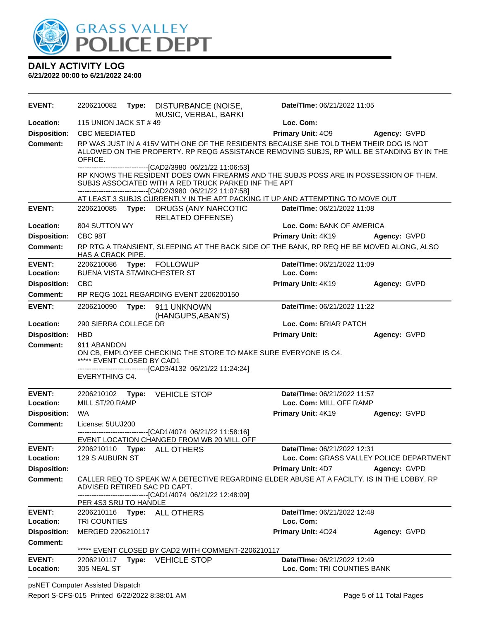

| <b>EVENT:</b>       | 2206210082                                                         | Type: DISTURBANCE (NOISE,<br>MUSIC, VERBAL, BARKI                                                                                                                                      | Date/TIme: 06/21/2022 11:05                                                                                                                                                         |                                          |
|---------------------|--------------------------------------------------------------------|----------------------------------------------------------------------------------------------------------------------------------------------------------------------------------------|-------------------------------------------------------------------------------------------------------------------------------------------------------------------------------------|------------------------------------------|
| Location:           | 115 UNION JACK ST #49                                              |                                                                                                                                                                                        | Loc. Com:                                                                                                                                                                           |                                          |
| <b>Disposition:</b> | <b>CBC MEEDIATED</b>                                               |                                                                                                                                                                                        | <b>Primary Unit: 409</b>                                                                                                                                                            | Agency: GVPD                             |
| <b>Comment:</b>     | OFFICE.                                                            |                                                                                                                                                                                        | RP WAS JUST IN A 415V WITH ONE OF THE RESIDENTS BECAUSE SHE TOLD THEM THEIR DOG IS NOT<br>ALLOWED ON THE PROPERTY. RP REQG ASSISTANCE REMOVING SUBJS, RP WILL BE STANDING BY IN THE |                                          |
|                     |                                                                    | -------------------------------[CAD2/3980_06/21/22 11:06:53]<br>SUBJS ASSOCIATED WITH A RED TRUCK PARKED INF THE APT<br>---------------------------------[CAD2/3980 06/21/22 11:07:58] | RP KNOWS THE RESIDENT DOES OWN FIREARMS AND THE SUBJS POSS ARE IN POSSESSION OF THEM.                                                                                               |                                          |
|                     |                                                                    |                                                                                                                                                                                        | AT LEAST 3 SUBJS CURRENTLY IN THE APT PACKING IT UP AND ATTEMPTING TO MOVE OUT                                                                                                      |                                          |
| <b>EVENT:</b>       |                                                                    | 2206210085 Type: DRUGS (ANY NARCOTIC<br><b>RELATED OFFENSE)</b>                                                                                                                        | Date/TIme: 06/21/2022 11:08                                                                                                                                                         |                                          |
| Location:           | 804 SUTTON WY                                                      |                                                                                                                                                                                        | Loc. Com: BANK OF AMERICA                                                                                                                                                           |                                          |
| <b>Disposition:</b> | CBC 98T                                                            |                                                                                                                                                                                        | Primary Unit: 4K19                                                                                                                                                                  | Agency: GVPD                             |
| <b>Comment:</b>     | HAS A CRACK PIPE.                                                  |                                                                                                                                                                                        | RP RTG A TRANSIENT, SLEEPING AT THE BACK SIDE OF THE BANK, RP REQ HE BE MOVED ALONG, ALSO                                                                                           |                                          |
| <b>EVENT:</b>       |                                                                    | 2206210086 Type: FOLLOWUP                                                                                                                                                              | Date/TIme: 06/21/2022 11:09                                                                                                                                                         |                                          |
| Location:           | BUENA VISTA ST/WINCHESTER ST                                       |                                                                                                                                                                                        | Loc. Com:                                                                                                                                                                           |                                          |
| <b>Disposition:</b> | <b>CBC</b>                                                         |                                                                                                                                                                                        | Primary Unit: 4K19                                                                                                                                                                  | Agency: GVPD                             |
| <b>Comment:</b>     |                                                                    | RP REQG 1021 REGARDING EVENT 2206200150                                                                                                                                                |                                                                                                                                                                                     |                                          |
| <b>EVENT:</b>       | 2206210090                                                         | Type: 911 UNKNOWN<br>(HANGUPS, ABAN'S)                                                                                                                                                 | Date/TIme: 06/21/2022 11:22                                                                                                                                                         |                                          |
| Location:           | 290 SIERRA COLLEGE DR                                              |                                                                                                                                                                                        | Loc. Com: BRIAR PATCH                                                                                                                                                               |                                          |
| <b>Disposition:</b> | <b>HBD</b>                                                         |                                                                                                                                                                                        | <b>Primary Unit:</b>                                                                                                                                                                | Agency: GVPD                             |
| Comment:            | 911 ABANDON<br>***** EVENT CLOSED BY CAD1<br><b>EVERYTHING C4.</b> | ON CB, EMPLOYEE CHECKING THE STORE TO MAKE SURE EVERYONE IS C4.<br>-------------------------------[CAD3/4132 06/21/22 11:24:24]                                                        |                                                                                                                                                                                     |                                          |
| <b>EVENT:</b>       |                                                                    | 2206210102 Type: VEHICLE STOP                                                                                                                                                          | Date/TIme: 06/21/2022 11:57                                                                                                                                                         |                                          |
| Location:           | MILL ST/20 RAMP                                                    |                                                                                                                                                                                        | Loc. Com: MILL OFF RAMP                                                                                                                                                             |                                          |
| <b>Disposition:</b> | <b>WA</b>                                                          |                                                                                                                                                                                        | Primary Unit: 4K19                                                                                                                                                                  | Agency: GVPD                             |
| <b>Comment:</b>     | License: 5UUJ200                                                   |                                                                                                                                                                                        |                                                                                                                                                                                     |                                          |
|                     |                                                                    | -------------------------------[CAD1/4074_06/21/22 11:58:16]<br>EVENT LOCATION CHANGED FROM WB 20 MILL OFF                                                                             |                                                                                                                                                                                     |                                          |
| <b>EVENT:</b>       |                                                                    | 2206210110 Type: ALL OTHERS                                                                                                                                                            | Date/TIme: 06/21/2022 12:31                                                                                                                                                         |                                          |
| Location:           | 129 S AUBURN ST                                                    |                                                                                                                                                                                        |                                                                                                                                                                                     | Loc. Com: GRASS VALLEY POLICE DEPARTMENT |
| <b>Disposition:</b> |                                                                    |                                                                                                                                                                                        | <b>Primary Unit: 4D7</b>                                                                                                                                                            | Agency: GVPD                             |
| <b>Comment:</b>     | ADVISED RETIRED SAC PD CAPT.                                       |                                                                                                                                                                                        | CALLER REQ TO SPEAK W/ A DETECTIVE REGARDING ELDER ABUSE AT A FACILTY. IS IN THE LOBBY. RP                                                                                          |                                          |
|                     | PER 4S3 SRU TO HANDLE                                              | -------------------------------[CAD1/4074 06/21/22 12:48:09]                                                                                                                           |                                                                                                                                                                                     |                                          |
| <b>EVENT:</b>       |                                                                    | 2206210116 Type: ALL OTHERS                                                                                                                                                            | Date/TIme: 06/21/2022 12:48                                                                                                                                                         |                                          |
| Location:           | TRI COUNTIES                                                       |                                                                                                                                                                                        | Loc. Com:                                                                                                                                                                           |                                          |
| <b>Disposition:</b> | MERGED 2206210117                                                  |                                                                                                                                                                                        | Primary Unit: 4024                                                                                                                                                                  | Agency: GVPD                             |
| <b>Comment:</b>     |                                                                    | ***** EVENT CLOSED BY CAD2 WITH COMMENT-2206210117                                                                                                                                     |                                                                                                                                                                                     |                                          |
| <b>EVENT:</b>       |                                                                    | 2206210117 Type: VEHICLE STOP                                                                                                                                                          | Date/TIme: 06/21/2022 12:49                                                                                                                                                         |                                          |
| Location:           | 305 NEAL ST                                                        |                                                                                                                                                                                        | Loc. Com: TRI COUNTIES BANK                                                                                                                                                         |                                          |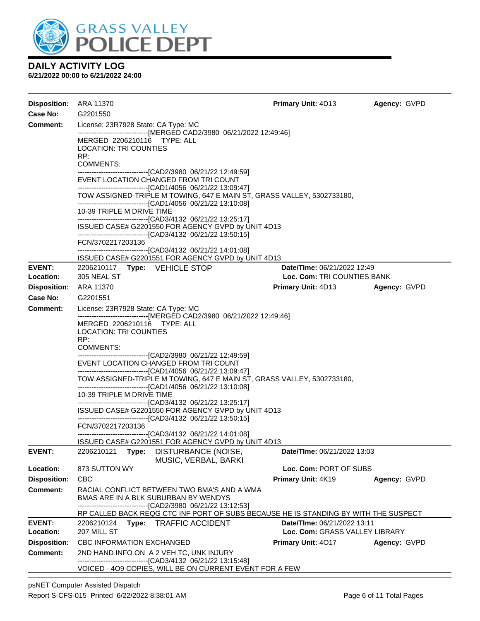

| Disposition: ARA 11370     |                                                                                                                                              |                                                                                                                                                      | <b>Primary Unit: 4D13</b>                                     | Agency: GVPD        |  |  |  |
|----------------------------|----------------------------------------------------------------------------------------------------------------------------------------------|------------------------------------------------------------------------------------------------------------------------------------------------------|---------------------------------------------------------------|---------------------|--|--|--|
| Case No:                   | G2201550                                                                                                                                     |                                                                                                                                                      |                                                               |                     |  |  |  |
| Comment:                   | License: 23R7928 State: CA Type: MC<br>MERGED 2206210116 TYPE: ALL                                                                           | -------------------------------[MERGED CAD2/3980 06/21/2022 12:49:46]                                                                                |                                                               |                     |  |  |  |
|                            | <b>LOCATION: TRI COUNTIES</b><br>RP:                                                                                                         |                                                                                                                                                      |                                                               |                     |  |  |  |
|                            | <b>COMMENTS:</b>                                                                                                                             | -----------------------------------[CAD2/3980_06/21/22_12:49:59]                                                                                     |                                                               |                     |  |  |  |
|                            |                                                                                                                                              | EVENT LOCATION CHANGED FROM TRI COUNT                                                                                                                |                                                               |                     |  |  |  |
|                            |                                                                                                                                              | -------------------------------[CAD1/4056 06/21/22 13:09:47]<br>TOW ASSIGNED-TRIPLE M TOWING, 647 E MAIN ST, GRASS VALLEY, 5302733180,               |                                                               |                     |  |  |  |
|                            | 10-39 TRIPLE M DRIVE TIME                                                                                                                    | --------------------------------[CAD3/4132 06/21/22 13:25:17]                                                                                        |                                                               |                     |  |  |  |
|                            |                                                                                                                                              | ISSUED CASE# G2201550 FOR AGENCY GVPD by UNIT 4D13<br>--------------------------------[CAD3/4132 06/21/22 13:50:15]                                  |                                                               |                     |  |  |  |
|                            | FCN/3702217203136<br>-------------------------------[CAD3/4132_06/21/22 14:01:08]                                                            |                                                                                                                                                      |                                                               |                     |  |  |  |
|                            |                                                                                                                                              | ISSUED CASE# G2201551 FOR AGENCY GVPD by UNIT 4D13                                                                                                   |                                                               |                     |  |  |  |
| <b>EVENT:</b><br>Location: | 2206210117 Type: VEHICLE STOP<br>305 NEAL ST                                                                                                 |                                                                                                                                                      | Date/TIme: 06/21/2022 12:49<br>Loc. Com: TRI COUNTIES BANK    |                     |  |  |  |
| <b>Disposition:</b>        | ARA 11370                                                                                                                                    |                                                                                                                                                      | <b>Primary Unit: 4D13</b>                                     | <b>Agency: GVPD</b> |  |  |  |
| Case No:                   | G2201551                                                                                                                                     |                                                                                                                                                      |                                                               |                     |  |  |  |
| <b>Comment:</b>            | License: 23R7928 State: CA Type: MC                                                                                                          |                                                                                                                                                      |                                                               |                     |  |  |  |
|                            | -------------------------------[MERGED CAD2/3980 06/21/2022 12:49:46]<br>MERGED 2206210116 TYPE: ALL<br><b>LOCATION: TRI COUNTIES</b><br>RP: |                                                                                                                                                      |                                                               |                     |  |  |  |
|                            | COMMENTS:                                                                                                                                    |                                                                                                                                                      |                                                               |                     |  |  |  |
|                            |                                                                                                                                              | -----------------------------------[CAD2/3980_06/21/22_12:49:59]<br>EVENT LOCATION CHANGED FROM TRI COUNT                                            |                                                               |                     |  |  |  |
|                            |                                                                                                                                              | --------------------------------[CAD1/4056 06/21/22 13:09:47]<br>TOW ASSIGNED-TRIPLE M TOWING, 647 E MAIN ST, GRASS VALLEY, 5302733180,              |                                                               |                     |  |  |  |
|                            | 10-39 TRIPLE M DRIVE TIME                                                                                                                    |                                                                                                                                                      |                                                               |                     |  |  |  |
|                            |                                                                                                                                              | -------------------------------[CAD3/4132 06/21/22 13:25:17]<br>ISSUED CASE# G2201550 FOR AGENCY GVPD by UNIT 4D13                                   |                                                               |                     |  |  |  |
|                            |                                                                                                                                              | --------------------------------[CAD3/4132 06/21/22 13:50:15]                                                                                        |                                                               |                     |  |  |  |
|                            | FCN/3702217203136                                                                                                                            | --------------------------------[CAD3/4132 06/21/22 14:01:08]                                                                                        |                                                               |                     |  |  |  |
|                            |                                                                                                                                              | ISSUED CASE# G2201551 FOR AGENCY GVPD by UNIT 4D13                                                                                                   |                                                               |                     |  |  |  |
| <b>EVENT:</b>              | 2206210121<br>Type:                                                                                                                          | DISTURBANCE (NOISE,<br>MUSIC, VERBAL, BARKI                                                                                                          | Date/TIme: 06/21/2022 13:03                                   |                     |  |  |  |
| Location:                  | 873 SUTTON WY                                                                                                                                |                                                                                                                                                      | Loc. Com: PORT OF SUBS                                        |                     |  |  |  |
| <b>Disposition:</b>        | <b>CBC</b>                                                                                                                                   |                                                                                                                                                      | <b>Primary Unit: 4K19</b>                                     | Agency: GVPD        |  |  |  |
| <b>Comment:</b>            |                                                                                                                                              | RACIAL CONFLICT BETWEEN TWO BMA'S AND A WMA<br>BMAS ARE IN A BLK SUBURBAN BY WENDYS<br>--------------------------------[CAD2/3980 06/21/22 13:12:53] |                                                               |                     |  |  |  |
|                            |                                                                                                                                              | RP CALLED BACK REQG CTC INF PORT OF SUBS BECAUSE HE IS STANDING BY WITH THE SUSPECT                                                                  |                                                               |                     |  |  |  |
| <b>EVENT:</b><br>Location: | 207 MILL ST                                                                                                                                  | 2206210124 Type: TRAFFIC ACCIDENT                                                                                                                    | Date/TIme: 06/21/2022 13:11<br>Loc. Com: GRASS VALLEY LIBRARY |                     |  |  |  |
| <b>Disposition:</b>        | <b>CBC INFORMATION EXCHANGED</b>                                                                                                             |                                                                                                                                                      | <b>Primary Unit: 4017</b>                                     | Agency: GVPD        |  |  |  |
| <b>Comment:</b>            |                                                                                                                                              | 2ND HAND INFO ON A 2 VEH TC, UNK INJURY                                                                                                              |                                                               |                     |  |  |  |
|                            |                                                                                                                                              | -------------------------------[CAD3/4132 06/21/22 13:15:48]<br>VOICED - 409 COPIES, WILL BE ON CURRENT EVENT FOR A FEW                              |                                                               |                     |  |  |  |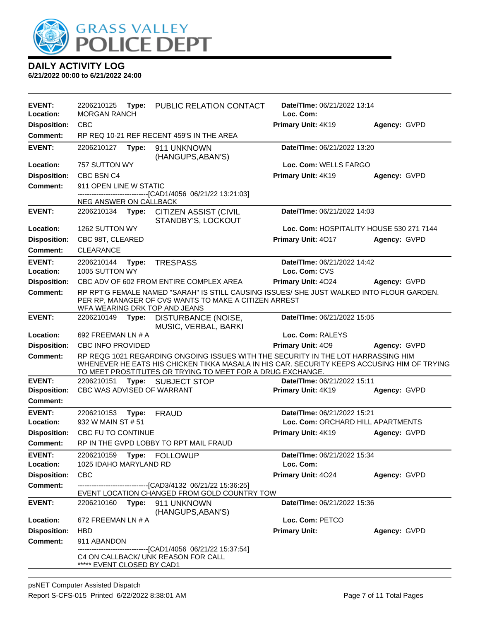

| <b>EVENT:</b>                    | 2206210125<br><b>MORGAN RANCH</b> | Type: | PUBLIC RELATION CONTACT                                                                                                                                                                                                                        | <b>Date/Time: 06/21/2022 13:14</b><br>Loc. Com: |              |
|----------------------------------|-----------------------------------|-------|------------------------------------------------------------------------------------------------------------------------------------------------------------------------------------------------------------------------------------------------|-------------------------------------------------|--------------|
| Location:<br><b>Disposition:</b> | <b>CBC</b>                        |       |                                                                                                                                                                                                                                                | Primary Unit: 4K19                              | Agency: GVPD |
| Comment:                         |                                   |       | RP REQ 10-21 REF RECENT 459'S IN THE AREA                                                                                                                                                                                                      |                                                 |              |
| <b>EVENT:</b>                    | 2206210127                        |       |                                                                                                                                                                                                                                                | Date/TIme: 06/21/2022 13:20                     |              |
|                                  |                                   | Type: | 911 UNKNOWN<br>(HANGUPS, ABAN'S)                                                                                                                                                                                                               |                                                 |              |
| <b>Location:</b>                 | 757 SUTTON WY                     |       |                                                                                                                                                                                                                                                | Loc. Com: WELLS FARGO                           |              |
| <b>Disposition:</b>              | CBC BSN C4                        |       |                                                                                                                                                                                                                                                | Primary Unit: 4K19                              | Agency: GVPD |
| Comment:                         | 911 OPEN LINE W STATIC            |       |                                                                                                                                                                                                                                                |                                                 |              |
|                                  |                                   |       | -------------------------[CAD1/4056_06/21/22 13:21:03]                                                                                                                                                                                         |                                                 |              |
| <b>EVENT:</b>                    | NEG ANSWER ON CALLBACK            |       | 2206210134 Type: CITIZEN ASSIST (CIVIL                                                                                                                                                                                                         | Date/TIme: 06/21/2022 14:03                     |              |
|                                  |                                   |       | STANDBY'S, LOCKOUT                                                                                                                                                                                                                             |                                                 |              |
| Location:                        | 1262 SUTTON WY                    |       |                                                                                                                                                                                                                                                | Loc. Com: HOSPITALITY HOUSE 530 271 7144        |              |
| <b>Disposition:</b>              | CBC 98T, CLEARED                  |       |                                                                                                                                                                                                                                                | Primary Unit: 4017                              | Agency: GVPD |
| <b>Comment:</b>                  | <b>CLEARANCE</b>                  |       |                                                                                                                                                                                                                                                |                                                 |              |
| <b>EVENT:</b>                    | 2206210144                        | Type: | <b>TRESPASS</b>                                                                                                                                                                                                                                | Date/TIme: 06/21/2022 14:42                     |              |
| Location:                        | 1005 SUTTON WY                    |       |                                                                                                                                                                                                                                                | Loc. Com: CVS                                   |              |
| <b>Disposition:</b>              |                                   |       | CBC ADV OF 602 FROM ENTIRE COMPLEX AREA                                                                                                                                                                                                        | Primary Unit: 4024                              | Agency: GVPD |
| <b>Comment:</b>                  |                                   |       | RP RPT'G FEMALE NAMED "SARAH" IS STILL CAUSING ISSUES/ SHE JUST WALKED INTO FLOUR GARDEN.<br>PER RP, MANAGER OF CVS WANTS TO MAKE A CITIZEN ARREST<br>WFA WEARING DRK TOP AND JEANS                                                            |                                                 |              |
| <b>EVENT:</b>                    | 2206210149                        | Type: | DISTURBANCE (NOISE,<br>MUSIC, VERBAL, BARKI                                                                                                                                                                                                    | Date/TIme: 06/21/2022 15:05                     |              |
| Location:                        | 692 FREEMAN LN # A                |       |                                                                                                                                                                                                                                                | Loc. Com: RALEYS                                |              |
| <b>Disposition:</b>              | CBC INFO PROVIDED                 |       |                                                                                                                                                                                                                                                | Primary Unit: 409                               | Agency: GVPD |
| <b>Comment:</b>                  |                                   |       | RP REQG 1021 REGARDING ONGOING ISSUES WITH THE SECURITY IN THE LOT HARRASSING HIM<br>WHENEVER HE EATS HIS CHICKEN TIKKA MASALA IN HIS CAR. SECURITY KEEPS ACCUSING HIM OF TRYING<br>TO MEET PROSTITUTES OR TRYING TO MEET FOR A DRUG EXCHANGE. |                                                 |              |
| <b>EVENT:</b>                    | 2206210151                        |       | Type: SUBJECT STOP                                                                                                                                                                                                                             | Date/TIme: 06/21/2022 15:11                     |              |
| <b>Disposition:</b>              | CBC WAS ADVISED OF WARRANT        |       |                                                                                                                                                                                                                                                | Primary Unit: 4K19                              | Agency: GVPD |
| <b>Comment:</b>                  |                                   |       |                                                                                                                                                                                                                                                |                                                 |              |
| <b>EVENT:</b>                    | 2206210153                        | Type: | <b>FRAUD</b>                                                                                                                                                                                                                                   | Date/TIme: 06/21/2022 15:21                     |              |
| Location:                        | 932 W MAIN ST # 51                |       |                                                                                                                                                                                                                                                | Loc. Com: ORCHARD HILL APARTMENTS               |              |
| <b>Disposition:</b>              | CBC FU TO CONTINUE                |       |                                                                                                                                                                                                                                                | Primary Unit: 4K19                              | Agency: GVPD |
| <b>Comment:</b>                  |                                   |       | RP IN THE GVPD LOBBY TO RPT MAIL FRAUD                                                                                                                                                                                                         |                                                 |              |
| <b>EVENT:</b>                    | 2206210159                        |       | Type: FOLLOWUP                                                                                                                                                                                                                                 | Date/TIme: 06/21/2022 15:34                     |              |
| Location:                        | 1025 IDAHO MARYLAND RD            |       |                                                                                                                                                                                                                                                | Loc. Com:                                       |              |
| <b>Disposition:</b>              | <b>CBC</b>                        |       |                                                                                                                                                                                                                                                | Primary Unit: 4024                              | Agency: GVPD |
| Comment:                         |                                   |       | -------------------------------[CAD3/4132_06/21/22 15:36:25]<br>EVENT LOCATION CHANGED FROM GOLD COUNTRY TOW                                                                                                                                   |                                                 |              |
| <b>EVENT:</b>                    | 2206210160                        | Type: | 911 UNKNOWN<br>(HANGUPS, ABAN'S)                                                                                                                                                                                                               | Date/TIme: 06/21/2022 15:36                     |              |
| Location:                        | 672 FREEMAN LN # A                |       |                                                                                                                                                                                                                                                | Loc. Com: PETCO                                 |              |
| <b>Disposition:</b>              | <b>HBD</b>                        |       |                                                                                                                                                                                                                                                | <b>Primary Unit:</b>                            | Agency: GVPD |
| <b>Comment:</b>                  | 911 ABANDON                       |       |                                                                                                                                                                                                                                                |                                                 |              |
|                                  | ***** EVENT CLOSED BY CAD1        |       | -------------------------[CAD1/4056 06/21/22 15:37:54]<br>C4 ON CALLBACK/ UNK REASON FOR CALL                                                                                                                                                  |                                                 |              |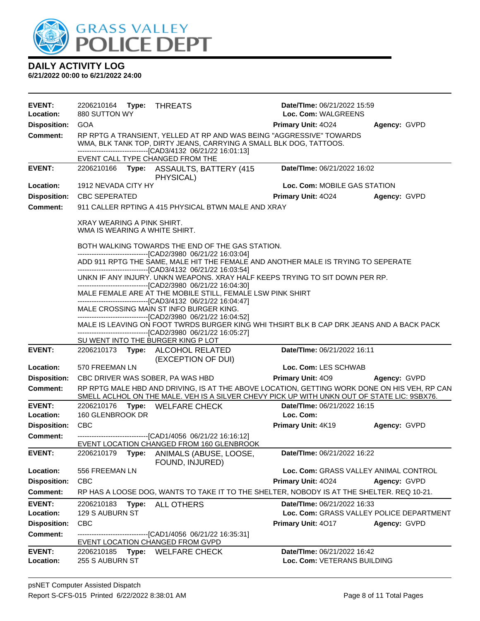

| <b>EVENT:</b><br>Location:       | 2206210164 Type:<br>880 SUTTON WY                           | THREATS                                                                                                                                                                                                                                        | Date/TIme: 06/21/2022 15:59<br>Loc. Com: WALGREENS                      |              |
|----------------------------------|-------------------------------------------------------------|------------------------------------------------------------------------------------------------------------------------------------------------------------------------------------------------------------------------------------------------|-------------------------------------------------------------------------|--------------|
| <b>Disposition:</b>              | <b>GOA</b>                                                  |                                                                                                                                                                                                                                                | <b>Primary Unit: 4024</b>                                               | Agency: GVPD |
| <b>Comment:</b>                  |                                                             | RP RPTG A TRANSIENT, YELLED AT RP AND WAS BEING "AGGRESSIVE" TOWARDS<br>WMA, BLK TANK TOP, DIRTY JEANS, CARRYING A SMALL BLK DOG, TATTOOS.<br>-------------------------------[CAD3/4132 06/21/22 16:01:13]<br>EVENT CALL TYPE CHANGED FROM THE |                                                                         |              |
| <b>EVENT:</b>                    | 2206210166<br>Type:                                         | ASSAULTS, BATTERY (415<br>PHYSICAL)                                                                                                                                                                                                            | Date/TIme: 06/21/2022 16:02                                             |              |
| Location:                        | 1912 NEVADA CITY HY                                         |                                                                                                                                                                                                                                                | Loc. Com: MOBILE GAS STATION                                            |              |
| <b>Disposition:</b>              | <b>CBC SEPERATED</b>                                        |                                                                                                                                                                                                                                                | <b>Primary Unit: 4024</b>                                               | Agency: GVPD |
| <b>Comment:</b>                  |                                                             | 911 CALLER RPTING A 415 PHYSICAL BTWN MALE AND XRAY                                                                                                                                                                                            |                                                                         |              |
|                                  | XRAY WEARING A PINK SHIRT.<br>WMA IS WEARING A WHITE SHIRT. |                                                                                                                                                                                                                                                |                                                                         |              |
|                                  |                                                             | BOTH WALKING TOWARDS THE END OF THE GAS STATION.                                                                                                                                                                                               |                                                                         |              |
|                                  |                                                             | --------------------------------[CAD2/3980 06/21/22 16:03:04]<br>ADD 911 RPTG THE SAME, MALE HIT THE FEMALE AND ANOTHER MALE IS TRYING TO SEPERATE<br>-------------------------------[CAD3/4132 06/21/22 16:03:54]                             |                                                                         |              |
|                                  |                                                             | UNKN IF ANY INJURY. UNKN WEAPONS. XRAY HALF KEEPS TRYING TO SIT DOWN PER RP.                                                                                                                                                                   |                                                                         |              |
|                                  |                                                             | --------------------------------[CAD2/3980 06/21/22 16:04:30]<br>MALE FEMALE ARE AT THE MOBILE STILL, FEMALE LSW PINK SHIRT                                                                                                                    |                                                                         |              |
|                                  |                                                             | ----------------------------------[CAD3/4132 06/21/22 16:04:47]                                                                                                                                                                                |                                                                         |              |
|                                  |                                                             | MALE CROSSING MAIN ST INFO BURGER KING.<br>--------------------------------[CAD2/3980 06/21/22 16:04:52]                                                                                                                                       |                                                                         |              |
|                                  |                                                             | MALE IS LEAVING ON FOOT TWRDS BURGER KING WHI THSIRT BLK B CAP DRK JEANS AND A BACK PACK                                                                                                                                                       |                                                                         |              |
|                                  |                                                             | -------------------------------[CAD2/3980 06/21/22 16:05:27]<br>SU WENT INTO THE BURGER KING P LOT                                                                                                                                             |                                                                         |              |
| <b>EVENT:</b>                    |                                                             | 2206210173 Type: ALCOHOL RELATED<br>(EXCEPTION OF DUI)                                                                                                                                                                                         | Date/TIme: 06/21/2022 16:11                                             |              |
| Location:                        | 570 FREEMAN LN                                              |                                                                                                                                                                                                                                                | Loc. Com: LES SCHWAB                                                    |              |
| <b>Disposition:</b>              |                                                             | CBC DRIVER WAS SOBER, PA WAS HBD                                                                                                                                                                                                               | <b>Primary Unit: 409</b>                                                | Agency: GVPD |
| <b>Comment:</b>                  |                                                             | RP RPTG MALE HBD AND DRIVING, IS AT THE ABOVE LOCATION, GETTING WORK DONE ON HIS VEH, RP CAN<br>SMELL ACLHOL ON THE MALE. VEH IS A SILVER CHEVY PICK UP WITH UNKN OUT OF STATE LIC: 9SBX76.                                                    |                                                                         |              |
| <b>EVENT:</b>                    | 2206210176                                                  | Type: WELFARE CHECK                                                                                                                                                                                                                            | Date/TIme: 06/21/2022 16:15<br>Loc. Com:                                |              |
| Location:<br><b>Disposition:</b> | 160 GLENBROOK DR<br><b>CBC</b>                              |                                                                                                                                                                                                                                                | Primary Unit: 4K19                                                      | Agency: GVPD |
| <b>Comment:</b>                  |                                                             | --------------------------------[CAD1/4056 06/21/22 16:16:12]                                                                                                                                                                                  |                                                                         |              |
|                                  |                                                             | EVENT LOCATION CHANGED FROM 160 GLENBROOK                                                                                                                                                                                                      |                                                                         |              |
| <b>EVENT:</b>                    | 2206210179<br>Type:                                         | ANIMALS (ABUSE, LOOSE,<br>FOUND, INJURED)                                                                                                                                                                                                      | Date/TIme: 06/21/2022 16:22                                             |              |
| Location:                        | 556 FREEMAN LN                                              |                                                                                                                                                                                                                                                | Loc. Com: GRASS VALLEY ANIMAL CONTROL                                   |              |
| <b>Disposition:</b>              | <b>CBC</b>                                                  |                                                                                                                                                                                                                                                | Primary Unit: 4024                                                      | Agency: GVPD |
| <b>Comment:</b>                  |                                                             | RP HAS A LOOSE DOG, WANTS TO TAKE IT TO THE SHELTER, NOBODY IS AT THE SHELTER. REQ 10-21.                                                                                                                                                      |                                                                         |              |
| <b>EVENT:</b><br>Location:       | 2206210183<br>Type:<br>129 S AUBURN ST                      | <b>ALL OTHERS</b>                                                                                                                                                                                                                              | Date/TIme: 06/21/2022 16:33<br>Loc. Com: GRASS VALLEY POLICE DEPARTMENT |              |
| <b>Disposition:</b>              | <b>CBC</b>                                                  |                                                                                                                                                                                                                                                | Primary Unit: 4017                                                      | Agency: GVPD |
| <b>Comment:</b>                  |                                                             | -------------------------------[CAD1/4056 06/21/22 16:35:31]<br>EVENT LOCATION CHANGED FROM GVPD                                                                                                                                               |                                                                         |              |
| <b>EVENT:</b>                    |                                                             | 2206210185 Type: WELFARE CHECK                                                                                                                                                                                                                 | Date/TIme: 06/21/2022 16:42                                             |              |
| Location:                        | 255 S AUBURN ST                                             |                                                                                                                                                                                                                                                | Loc. Com: VETERANS BUILDING                                             |              |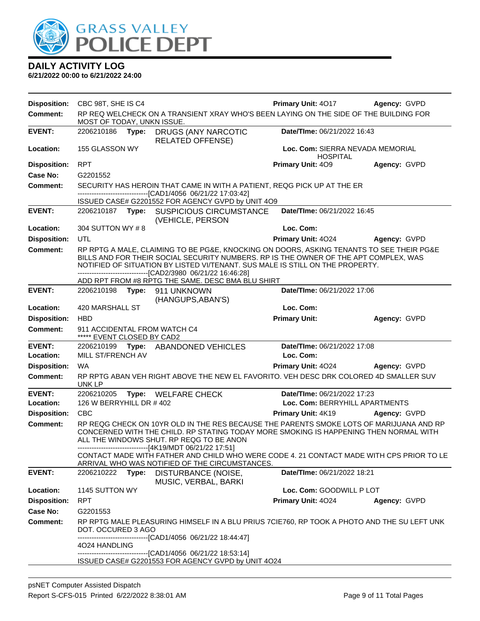

| <b>Disposition:</b> | CBC 98T, SHE IS C4                                                                                                                                                                                                                                                                      |       |                                                                                                                                                                                                                                                                                                                                                                                        | Primary Unit: 4017                                  | Agency: GVPD |
|---------------------|-----------------------------------------------------------------------------------------------------------------------------------------------------------------------------------------------------------------------------------------------------------------------------------------|-------|----------------------------------------------------------------------------------------------------------------------------------------------------------------------------------------------------------------------------------------------------------------------------------------------------------------------------------------------------------------------------------------|-----------------------------------------------------|--------------|
| <b>Comment:</b>     | MOST OF TODAY, UNKN ISSUE.                                                                                                                                                                                                                                                              |       | RP REQ WELCHECK ON A TRANSIENT XRAY WHO'S BEEN LAYING ON THE SIDE OF THE BUILDING FOR                                                                                                                                                                                                                                                                                                  |                                                     |              |
| <b>EVENT:</b>       | 2206210186                                                                                                                                                                                                                                                                              | Type: | <b>DRUGS (ANY NARCOTIC</b><br><b>RELATED OFFENSE)</b>                                                                                                                                                                                                                                                                                                                                  | Date/TIme: 06/21/2022 16:43                         |              |
| <b>Location:</b>    | 155 GLASSON WY                                                                                                                                                                                                                                                                          |       |                                                                                                                                                                                                                                                                                                                                                                                        | Loc. Com: SIERRA NEVADA MEMORIAL<br><b>HOSPITAL</b> |              |
| <b>Disposition:</b> | <b>RPT</b>                                                                                                                                                                                                                                                                              |       |                                                                                                                                                                                                                                                                                                                                                                                        | Primary Unit: 409                                   | Agency: GVPD |
| Case No:            | G2201552                                                                                                                                                                                                                                                                                |       |                                                                                                                                                                                                                                                                                                                                                                                        |                                                     |              |
| Comment:            |                                                                                                                                                                                                                                                                                         |       | SECURITY HAS HEROIN THAT CAME IN WITH A PATIENT, REQG PICK UP AT THE ER<br>-------------------------------[CAD1/4056_06/21/22 17:03:42]                                                                                                                                                                                                                                                |                                                     |              |
|                     |                                                                                                                                                                                                                                                                                         |       | ISSUED CASE# G2201552 FOR AGENCY GVPD by UNIT 4O9                                                                                                                                                                                                                                                                                                                                      |                                                     |              |
| <b>EVENT:</b>       |                                                                                                                                                                                                                                                                                         |       | 2206210187 Type: SUSPICIOUS CIRCUMSTANCE<br>(VEHICLE, PERSON                                                                                                                                                                                                                                                                                                                           | Date/TIme: 06/21/2022 16:45                         |              |
| Location:           | 304 SUTTON WY #8                                                                                                                                                                                                                                                                        |       |                                                                                                                                                                                                                                                                                                                                                                                        | Loc. Com:                                           |              |
| <b>Disposition:</b> | UTL                                                                                                                                                                                                                                                                                     |       |                                                                                                                                                                                                                                                                                                                                                                                        | <b>Primary Unit: 4024</b>                           | Agency: GVPD |
| <b>Comment:</b>     |                                                                                                                                                                                                                                                                                         |       | RP RPTG A MALE, CLAIMING TO BE PG&E, KNOCKING ON DOORS, ASKING TENANTS TO SEE THEIR PG&E<br>BILLS AND FOR THEIR SOCIAL SECURITY NUMBERS. RP IS THE OWNER OF THE APT COMPLEX, WAS<br>NOTIFIED OF SITUATION BY LISTED VI/TENANT. SUS MALE IS STILL ON THE PROPERTY.<br>-------------------------------[CAD2/3980 06/21/22 16:46:28]<br>ADD RPT FROM #8 RPTG THE SAME. DESC BMA BLU SHIRT |                                                     |              |
| <b>EVENT:</b>       |                                                                                                                                                                                                                                                                                         |       | 2206210198    Type: 911    UNKNOWN                                                                                                                                                                                                                                                                                                                                                     | Date/TIme: 06/21/2022 17:06                         |              |
|                     |                                                                                                                                                                                                                                                                                         |       | (HANGUPS, ABAN'S)                                                                                                                                                                                                                                                                                                                                                                      |                                                     |              |
| Location:           | 420 MARSHALL ST                                                                                                                                                                                                                                                                         |       |                                                                                                                                                                                                                                                                                                                                                                                        | Loc. Com:                                           |              |
| <b>Disposition:</b> | <b>HBD</b>                                                                                                                                                                                                                                                                              |       |                                                                                                                                                                                                                                                                                                                                                                                        | <b>Primary Unit:</b>                                | Agency: GVPD |
| <b>Comment:</b>     | ***** EVENT CLOSED BY CAD2                                                                                                                                                                                                                                                              |       | 911 ACCIDENTAL FROM WATCH C4                                                                                                                                                                                                                                                                                                                                                           |                                                     |              |
| <b>EVENT:</b>       |                                                                                                                                                                                                                                                                                         |       | 2206210199 Type: ABANDONED VEHICLES                                                                                                                                                                                                                                                                                                                                                    | Date/TIme: 06/21/2022 17:08                         |              |
| Location:           | MILL ST/FRENCH AV                                                                                                                                                                                                                                                                       |       |                                                                                                                                                                                                                                                                                                                                                                                        | Loc. Com:                                           |              |
| <b>Disposition:</b> | <b>WA</b>                                                                                                                                                                                                                                                                               |       |                                                                                                                                                                                                                                                                                                                                                                                        | Primary Unit: 4024                                  | Agency: GVPD |
| <b>Comment:</b>     | UNK LP                                                                                                                                                                                                                                                                                  |       | RP RPTG ABAN VEH RIGHT ABOVE THE NEW EL FAVORITO. VEH DESC DRK COLORED 4D SMALLER SUV                                                                                                                                                                                                                                                                                                  |                                                     |              |
| <b>EVENT:</b>       | 2206210205                                                                                                                                                                                                                                                                              |       | Type: WELFARE CHECK                                                                                                                                                                                                                                                                                                                                                                    | Date/TIme: 06/21/2022 17:23                         |              |
| Location:           | 126 W BERRYHILL DR #402                                                                                                                                                                                                                                                                 |       |                                                                                                                                                                                                                                                                                                                                                                                        | Loc. Com: BERRYHILL APARTMENTS                      |              |
| <b>Disposition:</b> | CBC                                                                                                                                                                                                                                                                                     |       |                                                                                                                                                                                                                                                                                                                                                                                        | Primary Unit: 4K19                                  | Agency: GVPD |
| <b>Comment:</b>     | RP REQG CHECK ON 10YR OLD IN THE RES BECAUSE THE PARENTS SMOKE LOTS OF MARIJUANA AND RP<br>CONCERNED WITH THE CHILD. RP STATING TODAY MORE SMOKING IS HAPPENING THEN NORMAL WITH<br>ALL THE WINDOWS SHUT. RP REQG TO BE ANON<br>------------------------------[4K19/MDT 06/21/22 17:51] |       |                                                                                                                                                                                                                                                                                                                                                                                        |                                                     |              |
|                     |                                                                                                                                                                                                                                                                                         |       | CONTACT MADE WITH FATHER AND CHILD WHO WERE CODE 4. 21 CONTACT MADE WITH CPS PRIOR TO LE<br>ARRIVAL WHO WAS NOTIFIED OF THE CIRCUMSTANCES.                                                                                                                                                                                                                                             |                                                     |              |
| <b>EVENT:</b>       | 2206210222                                                                                                                                                                                                                                                                              |       | Type: DISTURBANCE (NOISE,<br>MUSIC, VERBAL, BARKI                                                                                                                                                                                                                                                                                                                                      | Date/TIme: 06/21/2022 18:21                         |              |
| Location:           | 1145 SUTTON WY                                                                                                                                                                                                                                                                          |       |                                                                                                                                                                                                                                                                                                                                                                                        | Loc. Com: GOODWILL P LOT                            |              |
| <b>Disposition:</b> | <b>RPT</b>                                                                                                                                                                                                                                                                              |       |                                                                                                                                                                                                                                                                                                                                                                                        | Primary Unit: 4024                                  | Agency: GVPD |
| <b>Case No:</b>     | G2201553                                                                                                                                                                                                                                                                                |       |                                                                                                                                                                                                                                                                                                                                                                                        |                                                     |              |
| <b>Comment:</b>     | DOT. OCCURED 3 AGO                                                                                                                                                                                                                                                                      |       | RP RPTG MALE PLEASURING HIMSELF IN A BLU PRIUS 7CIE760, RP TOOK A PHOTO AND THE SU LEFT UNK<br>-------------------------[CAD1/4056_06/21/22 18:44:47]                                                                                                                                                                                                                                  |                                                     |              |
|                     | 4024 HANDLING                                                                                                                                                                                                                                                                           |       | -------------------------------[CAD1/4056 06/21/22 18:53:14]<br>ISSUED CASE# G2201553 FOR AGENCY GVPD by UNIT 4O24                                                                                                                                                                                                                                                                     |                                                     |              |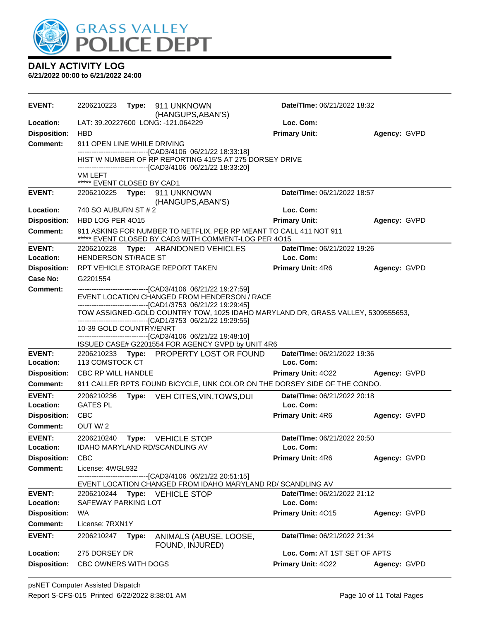

| <b>EVENT:</b>                   | 2206210223<br>Type: 911 UNKNOWN<br>(HANGUPS, ABAN'S)                                                                                             | Date/TIme: 06/21/2022 18:32              |              |
|---------------------------------|--------------------------------------------------------------------------------------------------------------------------------------------------|------------------------------------------|--------------|
| <b>Location:</b>                | LAT: 39.20227600 LONG: -121.064229                                                                                                               | Loc. Com:                                |              |
| <b>Disposition:</b>             | <b>HBD</b>                                                                                                                                       | <b>Primary Unit:</b>                     | Agency: GVPD |
| Comment:                        | 911 OPEN LINE WHILE DRIVING                                                                                                                      |                                          |              |
|                                 | ------------------------[CAD3/4106_06/21/22_18:33:18]<br>HIST W NUMBER OF RP REPORTING 415'S AT 275 DORSEY DRIVE                                 |                                          |              |
|                                 | -------------------------------[CAD3/4106_06/21/22 18:33:20]                                                                                     |                                          |              |
|                                 | VM LEFT                                                                                                                                          |                                          |              |
| <b>EVENT:</b>                   | ***** EVENT CLOSED BY CAD1<br>2206210225 Type: 911 UNKNOWN                                                                                       | Date/TIme: 06/21/2022 18:57              |              |
|                                 | (HANGUPS, ABAN'S)                                                                                                                                |                                          |              |
| Location:                       | 740 SO AUBURN ST # 2                                                                                                                             | Loc. Com:                                |              |
| <b>Disposition:</b>             | HBD LOG PER 4015                                                                                                                                 | <b>Primary Unit:</b>                     | Agency: GVPD |
| <b>Comment:</b>                 | 911 ASKING FOR NUMBER TO NETFLIX. PER RP MEANT TO CALL 411 NOT 911<br>***** EVENT CLOSED BY CAD3 WITH COMMENT-LOG PER 4015                       |                                          |              |
| <b>EVENT:</b>                   | 2206210228 Type: ABANDONED VEHICLES                                                                                                              | Date/TIme: 06/21/2022 19:26              |              |
| Location:                       | <b>HENDERSON ST/RACE ST</b>                                                                                                                      | Loc. Com:                                |              |
| <b>Disposition:</b>             | RPT VEHICLE STORAGE REPORT TAKEN                                                                                                                 | <b>Primary Unit: 4R6</b>                 | Agency: GVPD |
| <b>Case No:</b>                 | G2201554                                                                                                                                         |                                          |              |
| Comment:                        | -------------------------------[CAD3/4106 06/21/22 19:27:59]<br>EVENT LOCATION CHANGED FROM HENDERSON / RACE                                     |                                          |              |
|                                 | -------------------------------[CAD1/3753_06/21/22 19:29:45]                                                                                     |                                          |              |
|                                 | TOW ASSIGNED-GOLD COUNTRY TOW, 1025 IDAHO MARYLAND DR, GRASS VALLEY, 5309555653,<br>-------------------------------[CAD1/3753_06/21/22_19:29:55] |                                          |              |
|                                 | 10-39 GOLD COUNTRY/ENRT                                                                                                                          |                                          |              |
|                                 | -------------------------------[CAD3/4106_06/21/22 19:48:10]<br>ISSUED CASE# G2201554 FOR AGENCY GVPD by UNIT 4R6                                |                                          |              |
| <b>EVENT:</b>                   | 2206210233 Type: PROPERTY LOST OR FOUND                                                                                                          | Date/TIme: 06/21/2022 19:36              |              |
| Location:                       | 113 COMSTOCK CT                                                                                                                                  | Loc. Com:                                |              |
| <b>Disposition:</b>             | <b>CBC RP WILL HANDLE</b>                                                                                                                        | <b>Primary Unit: 4022</b>                | Agency: GVPD |
| Comment:                        | 911 CALLER RPTS FOUND BICYCLE, UNK COLOR ON THE DORSEY SIDE OF THE CONDO.                                                                        |                                          |              |
| <b>EVENT:</b>                   | 2206210236<br>Type: VEH CITES, VIN, TOWS, DUI                                                                                                    | <b>Date/Time: 06/21/2022 20:18</b>       |              |
| <b>Location:</b>                | <b>GATES PL</b>                                                                                                                                  | Loc. Com:                                |              |
| <b>Disposition:</b>             | CBC                                                                                                                                              | <b>Primary Unit: 4R6</b>                 | Agency: GVPD |
| <b>Comment:</b>                 | OUT W/2                                                                                                                                          |                                          |              |
| <b>EVENT:</b>                   | 2206210240<br><b>Type: VEHICLE STOP</b>                                                                                                          | Date/TIme: 06/21/2022 20:50              |              |
| Location:                       | IDAHO MARYLAND RD/SCANDLING AV<br><b>CBC</b>                                                                                                     | Loc. Com:                                |              |
| <b>Disposition:</b><br>Comment: | License: 4WGL932                                                                                                                                 | <b>Primary Unit: 4R6</b>                 | Agency: GVPD |
|                                 | ------------------------[CAD3/4106 06/21/22 20:51:15]                                                                                            |                                          |              |
|                                 | EVENT LOCATION CHANGED FROM IDAHO MARYLAND RD/ SCANDLING AV                                                                                      |                                          |              |
| <b>EVENT:</b><br>Location:      | 2206210244<br>Type: VEHICLE STOP<br>SAFEWAY PARKING LOT                                                                                          | Date/TIme: 06/21/2022 21:12<br>Loc. Com: |              |
| <b>Disposition:</b>             | <b>WA</b>                                                                                                                                        | Primary Unit: 4015                       | Agency: GVPD |
| <b>Comment:</b>                 | License: 7RXN1Y                                                                                                                                  |                                          |              |
| <b>EVENT:</b>                   | 2206210247<br>Type:<br>ANIMALS (ABUSE, LOOSE,                                                                                                    | Date/TIme: 06/21/2022 21:34              |              |
|                                 | FOUND, INJURED)                                                                                                                                  |                                          |              |
| Location:                       | 275 DORSEY DR                                                                                                                                    | Loc. Com: AT 1ST SET OF APTS             |              |
| <b>Disposition:</b>             | CBC OWNERS WITH DOGS                                                                                                                             | Primary Unit: 4022                       | Agency: GVPD |